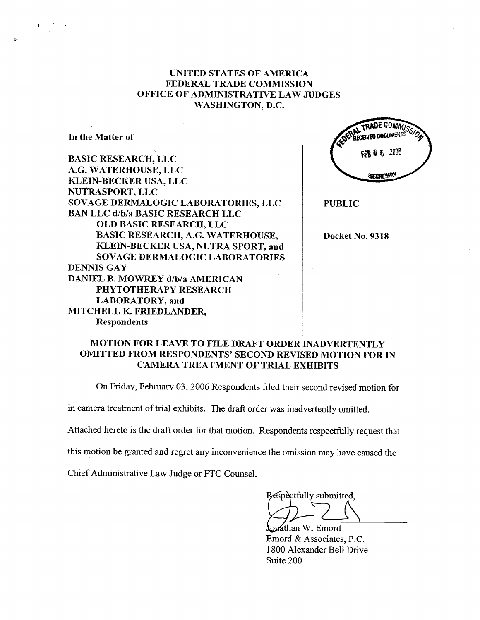## UNITED STATES OF AMERICA FEDERAL TRADE COMMISSION OFFICE OF ADMINISTRATIVE LAW JUDGES WASHINGTON, D.C.

In the Matter of

BASIC RESEARCH, LLC A.G. WATERHOUSE, LLC KLEIN-BECKER USA, LLC NUTRASPORT, LLC SOVAGE DERMALOGIC LABORATORIES, LLC BAN LLC d/b/a BASIC RESEARCH LLC OLD BASIC RESEARCH, LLC BASIC RESEARCH, A.G. WATERHOUSE, KLEIN-BECKER USA, NUTRA SPORT, and SOVAGE DERMALOGIC LABORATORIES DENNIS GAY DANIEL B. MOWREY d/b/a AMERICAN PHYTOTHERAPY RESEARCH LABORATORY, and MITCHELL K. FRIEDLANDER, Respondents

**COMMI CEIVED DOCUMENT** 6364662006 SECRETARY

PUBLIC

Docket No. 9318

## MOTION FOR LEAVE TO FILE DRAFT ORDER INADVERTENTLY OMITTED FROM RESPONDENTS' SECOND REVISED MOTION FOR IN CAMERA TREATMENT OF TRIAL EXHIBITS

On Friday, February 03, 2006 Respondents filed their second revised motion for

in camera treatment of trial exhibits. The draft order was inadvertently omitted.

Attached hereto is the draft order for that motion. Respondents respectfully request that

this motion be granted and regret any inconvenience the omission may have caused the

Chief Administrative Law Judge or FTC CounseL

Respectfully submitted,

lonathan W. Emord Emord & Associates, P.C. 1800 Alexander Bell Drive Suite 200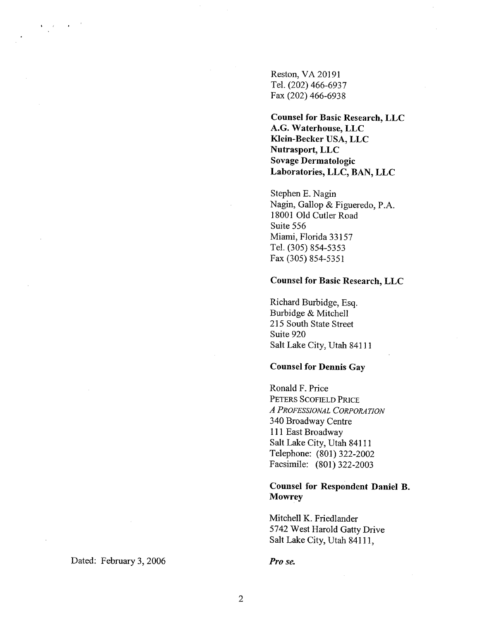Reston, VA 20191 TeL (202) 466-6937 Fax (202) 466-6938

Counsel for Basic Research, LLC A.G. Waterhouse, LLC Klein-Becker USA, LLC Nutrasport, LLC Sovage Dermatologic Laboratories, LLC, BAN, LLC

Stephen E. Nagin Nagin, Gallop & Figueredo, P.A. 18001 Old Cutler Road Suite 556 Miami, Florida 33157 TeL. (305) 854-5353 Fax (305) 854-5351

#### Counsel for Basic Research, LLC

Richard Burbidge, Esq. Burbidge & Mitchell 215 South State Street Suite 920 Salt Lake City, Utah 84111

#### Counsel for Dennis Gay

Ronald F. Price PETERS SCOFIELD PRICE A PROFESSIONAL CORPORATION 340 Broadway Centre 111 East Broadway Salt Lake City, Utah 84111 Telephone: (801) 322-2002 Facsimile: (801) 322-2003

#### Counsel for Respondent Daniel B. **Mowrey**

Mitchell K. Friedlander 5742 West Harold Gatty Drive Salt Lake City, Utah 84111,

Pro se.

Dated: February 3, 2006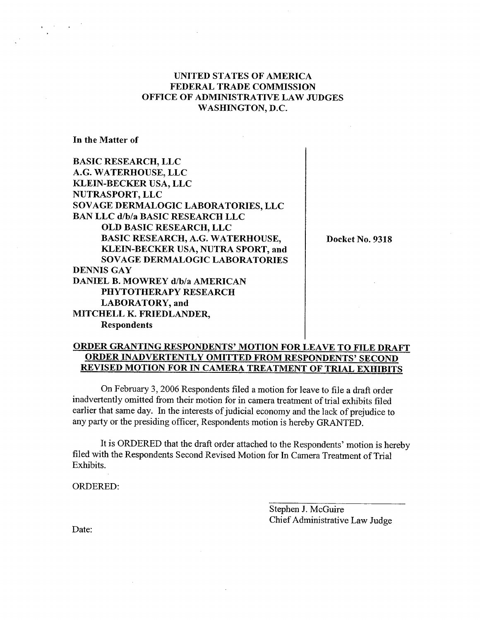## UNITED STATES OF AMERICA FEDERAL TRADE COMMISSION OFFICE OF ADMINISTRATIVE LAW JUDGES WASHINGTON, D.C.

In the Matter of

BASIC RESEARCH, LLC A.G. WATERHOUSE, LLC KLEIN-BECKER USA, LLC NUTRASPORT, LLC SOVAGE DERMALOGIC LABORATORIES, LLC BAN LLC d/b/a BASIC RESEARCH LLC OLD BASIC RESEARCH, LLC BASIC RESEARCH, A.G. WATERHOUSE, KLEIN-BECKER USA, NUTRA SPORT, and SOVAGE DERMALOGIC LABORATORIES DENNIS GAY DANIEL B. MOWREY d/b/a AMERICAN PHYTOTHERAPY RESEARCH LABORATORY, and MITCHELL K. FRIEDLANDER, Respondents

Docket No. 9318

# ORDER GRANTING RESPONDENTS' MOTION FOR LEAVE TO FILE DRAFT ORDER INADVERTENTLY OMITTED FROM RESPONDENTS' SECOND REVISED MOTION FOR IN CAMERA TREATMENT OF TRIAL EXHIBITS

On February 3, 2006 Respondents filed a motion for leave to file a draft order inadvertently omitted from their motion for in camera treatment of trial exhibits filed earlier that same day. In the interests of judicial economy and the lack of prejudice to any pary or the presiding officer, Respondents motion is hereby GRANTED.

It is ORDERED that the draft order attached to the Respondents' motion is hereby filed with the Respondents Second Revised Motion for In Camera Treatment of Trial Exhibits.

ORDERED:

Stephen J. McGuire Chief Administrative Law Judge

Date: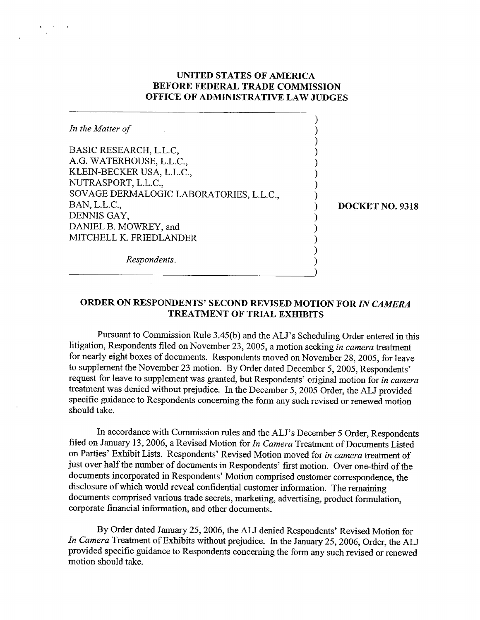## UNITED STATES OF AMERICA BEFORE FEDERAL TRADE COMMISSION OFFICE OF ADMINISTRATIVE LAW JUDGES

 $\overline{1}$ 

| In the Matter of                                        |                 |
|---------------------------------------------------------|-----------------|
| BASIC RESEARCH, L.L.C,<br>A.G. WATERHOUSE, L.L.C.,      |                 |
| KLEIN-BECKER USA, L.L.C.,<br>NUTRASPORT, L.L.C.,        |                 |
| SOVAGE DERMALOGIC LABORATORIES, L.L.C.,<br>BAN, L.L.C., | DOCKET NO. 9318 |
| DENNIS GAY,<br>DANIEL B. MOWREY, and                    |                 |
| MITCHELL K. FRIEDLANDER                                 |                 |
| Respondents.                                            |                 |

ORDER ON RESPONDENTS' SECOND REVISED MOTION FOR IN CAMERA TREATMENT OF TRIAL EXHIBITS

)

Pursuant to Commission Rule 3.45(b) and the ALl's Scheduling Order entered in this litigation, Respondents filed on November 23, 2005, a motion seeking in camera treatment for nearly eight boxes of documents. Respondents moved on November 28, 2005, for leave to supplement the November 23 motion. By Order dated December 5, 2005, Respondents' request for leave to supplement was granted, but Respondents' original motion for in camera treatment was denied without prejudice. In the December 5, 2005 Order, the ALJ provided specific guidance to Respondents concerning the form any such revised or renewed motion should take.

In accordance with Commission rules and the ALJ's December 5 Order, Respondents filed on January 13, 2006, a Revised Motion for In Camera Treatment of Documents Listed on Paries' Exhibit Lists. Respondents' Revised Motion moved for in camera treatment of just over half the number of documents in Respondents' first motion. Over one-third of the documents incorporated in Respondents' Motion comprised customer correspondence, the disclosure of which would reveal confidential customer information. The remaining documents comprised various trade secrets, marketing, advertising, product formulation, corporate financial information, and other documents.

By Order dated January 25, 2006, the ALJ denied Respondents' Revised Motion for In Camera Treatment of Exhibits without prejudice. In the January 25, 2006, Order, the ALJ provided specific guidance to Respondents concerning the form any such revised or renewed motion should take.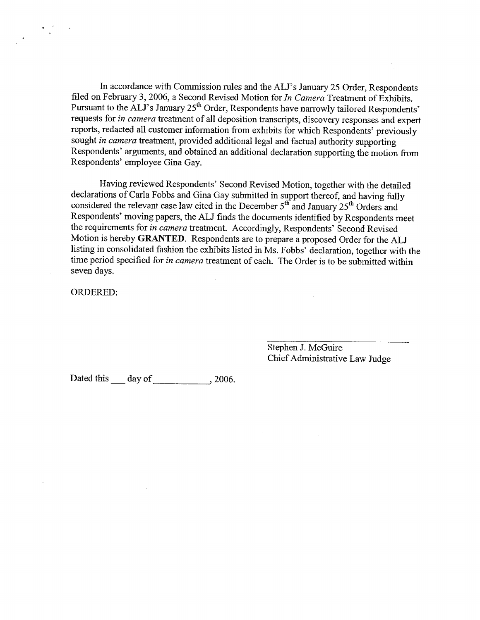In accordance with Commission rules and the ALJ's January 25 Order, Respondents filed on February 3, 2006, a Second Revised Motion for In Camera Treatment of Exhibits. Pursuant to the ALJ's January 25<sup>th</sup> Order, Respondents have narrowly tailored Respondents' requests for in camera treatment of all deposition transcripts, discovery responses and expert reports, redacted all customer information from exhibits for which Respondents' previously sought in camera treatment, provided additional legal and factual authority supporting Respondents' arguments, and obtained an additional declaration supporting the motion from Respondents' employee Gina Gay.

Having reviewed Respondents' Second Revised Motion, together with the detailed declarations of Carla Fobbs and Gina Gay submitted in support thereof, and having fully considered the relevant case law cited in the December  $5<sup>th</sup>$  and January 25<sup>th</sup> Orders and Respondents' moving papers, the ALJ finds the documents identified by Respondents meet the requirements for in camera treatment. Accordingly, Respondents' Second Revised Motion is hereby GRATED. Respondents are to prepare a proposed Order for the ALJ listing in consolidated fashion the exhibits listed in Ms. Fobbs' declaration, together with the time period specified for in camera treatment of each. The Order is to be submitted within seven days.

ORDERED:

 $\frac{\mathbf{r}-\mathbf{r}^2}{\mathbf{s}} = -\mathbf{r}$ 

Stephen J. McGuire Chief Administrative Law Judge

Dated this day of , 2006.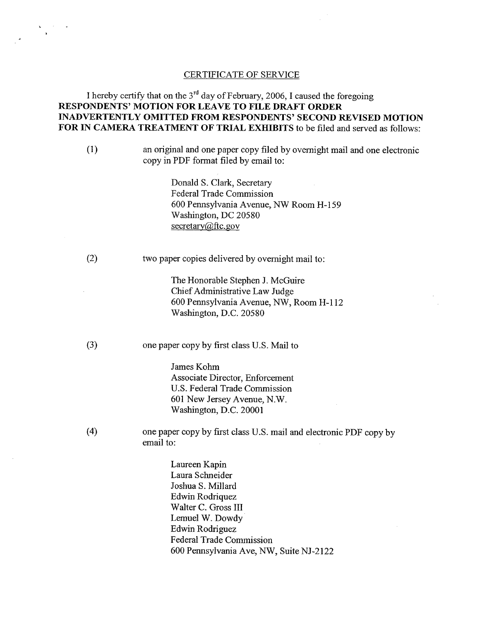#### CERTIFICATE OF SERVICE

# I hereby certify that on the  $3<sup>rd</sup>$  day of February, 2006, I caused the foregoing RESPONDENTS' MOTION FOR LEAVE TO FILE DRAFT ORDER INADVERTENTLY OMITTED FROM RESPONDENTS' SECOND REVISED MOTION FOR IN CAMERA TREATMENT OF TRIAL EXHIBITS to be filed and served as follows:

(1) an original and one paper copy filed by overnight mail and one electronic copy in PDF fonnat filed by email to:

> Donald S. Clark, Secretary Federal Trade Commission 600 Pennsylvania Avenue, NW Room H- 159 Washington, DC 20580 secretary@ftc.gov

(2) two paper copies delivered by overnight mail to:

The Honorable Stephen J. McGuire Chief Administrative Law Judge 600 Pennsylvania Avenue, NW, Room H-112 Washington, D.C. 20580

(3) one paper copy by first class U.S. Mail to

James Kohm Associate Director, Enforcement U.S. Federal Trade Commission 601 New Jersey Avenue, N. Washington, D.C. 20001

(4) one paper copy by first class U.S. mail and electronic PDF copy by email to:

> Laureen Kapin Laura Schneider Joshua S. Millard Edwin Rodriquez Walter C. Gross III Lemuel W. Dowdy Edwin Rodriguez Federal Trade Commission 600 Pennsylvania Ave, NW, Suite NJ-2122